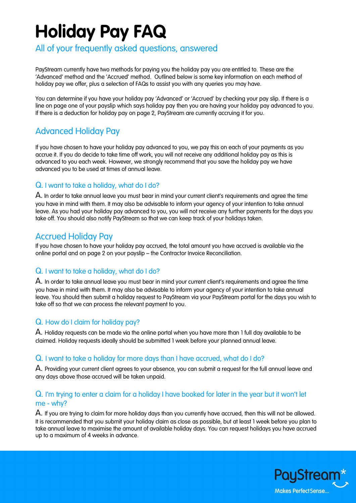# **Holiday Pay FAQ**

# All of your frequently asked questions, answered

PayStream currently have two methods for paying you the holiday pay you are entitled to. These are the 'Advanced' method and the 'Accrued' method. Outlined below is some key information on each method of holiday pay we offer, plus a selection of FAQs to assist you with any queries you may have.

You can determine if you have your holiday pay 'Advanced' or 'Accrued' by checking your pay slip. If there is a line on page one of your payslip which says holiday pay then you are having your holiday pay advanced to you. If there is a deduction for holiday pay on page 2, PayStream are currently accruing it for you.

# Advanced Holiday Pay

If you have chosen to have your holiday pay advanced to you, we pay this on each of your payments as you accrue it. If you do decide to take time off work, you will not receive any additional holiday pay as this is advanced to you each week. However, we strongly recommend that you save the holiday pay we have advanced you to be used at times of annual leave.

# Q. I want to take a holiday, what do I do?

A. In order to take annual leave you must bear in mind your current client's requirements and agree the time you have in mind with them. It may also be advisable to inform your agency of your intention to take annual leave. As you had your holiday pay advanced to you, you will not receive any further payments for the days you take off. You should also notify PayStream so that we can keep track of your holidays taken.

# Accrued Holiday Pay

If you have chosen to have your holiday pay accrued, the total amount you have accrued is available via the online portal and on page 2 on your payslip – the Contractor Invoice Reconciliation.

## Q. I want to take a holiday, what do I do?

A. In order to take annual leave you must bear in mind your current client's requirements and agree the time you have in mind with them. It may also be advisable to inform your agency of your intention to take annual leave. You should then submit a holiday request to PayStream via your PayStream portal for the days you wish to take off so that we can process the relevant payment to you.

# Q. How do I claim for holiday pay?

A. Holiday requests can be made via the online portal when you have more than 1 full day available to be claimed. Holiday requests ideally should be submitted 1 week before your planned annual leave.

## Q. I want to take a holiday for more days than I have accrued, what do I do?

A. Providing your current client agrees to your absence, you can submit a request for the full annual leave and any days above those accrued will be taken unpaid.

# Q. I'm trying to enter a claim for a holiday I have booked for later in the year but it won't let me - why?

A. If you are trying to claim for more holiday days than you currently have accrued, then this will not be allowed. It is recommended that you submit your holiday claim as close as possible, but at least 1 week before you plan to take annual leave to maximise the amount of available holiday days. You can request holidays you have accrued up to a maximum of 4 weeks in advance.